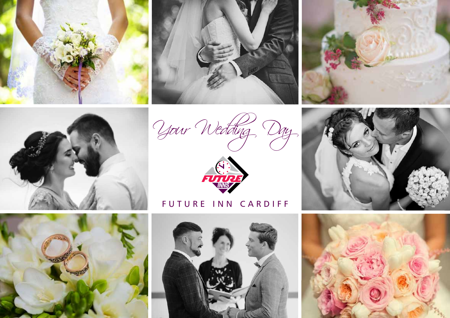









# FUTURE INN CARDIFF







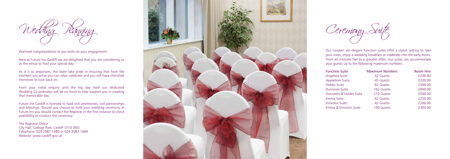Our modern yet elegant function suites offer a stylish setting to take your vows, enjoy a wedding breakfast or celebrate into the early hours. From an intimate feel to a grander affair, our suites can accommodate your guests up to the following maximum numbers:

Here at Future Inn Cardiff we are delighted that you are considering us as the venue to host your special day.

| <b>Function Suite</b>   | <b>Maximum Numbers</b> | <b>Room Hire</b> |
|-------------------------|------------------------|------------------|
| Angelsea Suite          | 42 Guests              | £200.00          |
| <b>Appledore Suite</b>  | 42 Guests              | £200.00          |
| <b>Holder Suite</b>     | 82 Guests              | £300.00          |
| Dunraven Suite          | 162 Guests             | £400.00          |
| Dunraven & Holder Suite | 210 Guests             | £500.00          |
| Emma Suite              | 62 Guests              | £250.00          |
| <b>Enniston Suite</b>   | 42 Guests              | £200.00          |
| Emma & Enniston Suite   | 100 Guests             | £300.00          |

Wedding Panning

Warmest congratulations to you both on your engagement.

As it is so important, the team take pride in ensuring that from the moment you arrive you can relax, celebrate and you will have cherished memories to look back on.

From your initial enquiry until the big day itself our dedicated Wedding Co-ordinator will be on hand to help support you in creating that memorable day.

Future Inn Cardiff is licensed to hold civil ceremonies, civil partnerships and blessings. Should you choose to hold your wedding ceremony at Future Inn you should contact the Registrar in the first instance to check availability to conduct the ceremony:

The Registrar Office City Hall, Cathays Park, Cardiff CF10 3ND Telephone: 029 2087 1680 or 029 2087 1684 Website: www.cardiff.gov.uk



Ceremony Suite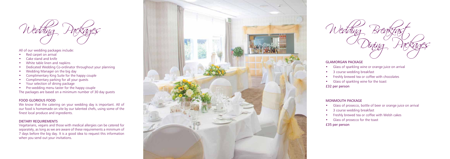Wedding Breakfast, Dining Packages

### GLAMORGAN PACKAGE

- Glass of sparkling wine or orange juice on arrival
- 3 course wedding breakfast
- Freshly brewed tea or coffee with chocolates
- Glass of sparkling wine for the toast

£32 per person

# MONMOUTH PACKAGE

- Glass of prosecco, bottle of beer or orange juice on arrival
- 3 course wedding breakfast
- Freshly brewed tea or coffee with Welsh cakes
- Glass of prosecco for the toast
- £35 per person
- Red carpet on arrival
- Cake stand and knife
- White table linen and napkins
- Dedicated Wedding Co-ordinator throughout your planning
- Wedding Manager on the big day
- Complimentary King Suite for the happy couple
- Complimentary parking for all your guests
- Your selection of dining package
- Pre-wedding menu taster for the happy couple



All of our wedding packages include:

Vegetarians, vegans and those with medical allergies can be catered for separately, as long as we are aware of these requirements a minimum of 7 days before the big day. It is a good idea to request this information when you send out your invitations.



The packages are based on a minimum number of 30 day guests

### FOOD GLORIOUS FOOD

We know that the catering on your wedding day is important. All of our food is homemade on site by our talented chefs, using some of the finest local produce and ingredients.

### DIETARY REQUIREMENTS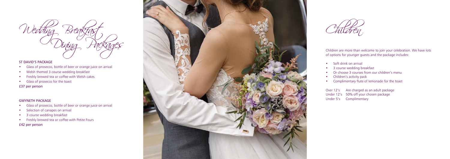Children

Children are more than welcome to join your celebration. We have lots of options for younger guests and the package includes:

- 
- Soft drink on arrival<br>3 course wedding breakfast
- Or choose 3 courses from our children's menu
- Children's activity pack
- Complimentary flute of lemonade for the toast

Over 12's Are charged as an adult package Under 12's 50% off your chosen package Under 5's Complimentary



### ST DAVID'S PACKAGE

- Glass of prosecco, bottle of beer or orange juice on arrival
- Welsh themed 3 course wedding breakfast
- Freshly brewed tea or coffee with Welsh cakes
- Glass of prosecco for the toast

£37 per person

## GWYNETH PACKAGE

- Glass of prosecco, bottle of beer or orange juice on arrival
- Selection of canapes on arrival
- 3 course wedding breakfast
- Freshly brewed tea or coffee with Petite Fours
- £42 per person

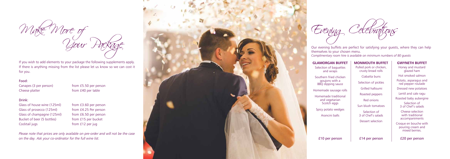Our evening buffets are perfect for satisfying your guests, where they can help themselves to your chosen menu.

*Complimentary room hire is available on minimum numbers of 80 guests*



Your Package

If you wish to add elements to your package the following supplements apply. If there is anything missing from the list please let us know so we can cost it for you.

#### Food:

Canapes (3 per person) from £5.50 per person Cheese platter from £40 per table

#### Drink:

Glass of house wine (125ml) from £3.60 per person Glass of prosecco (125ml) from £4.25 Per person Glass of champagne (125ml) from £6.50 per person Bucket of beer (5 bottles) from £15 per bucket Cocktail jugs from £12 per jug

*Please note that prices are only available on pre-order and will not be the case on the day. Ask your co-ordinator for the full wine list.*

#### **GLAMORGAN BUFFET**

Selection of baguettes and wraps

Southern fried chicken goujons with a BBQ dipping sauce

Homemade sausage rolls

Homemade traditional and vegetarian Scotch eggs

Spicy potato wedges

Arancini balls

£10 per person

# **MONMOUTH BUFFET**

Pulled pork or chicken, crusty bread rolls

Ciabatta buns

Selection of pickles

Grilled halloumi

Roasted peppers

Red onions

Sun blush tomatoes

Selection of 3 of Chef's salads

Dessert selection

£14 per person

# **GWYNETH BUFFET**

Honey and mustard glazed ham Hot smoked salmon Potato, asparagus and red pepper roulade Dressed new potatoes Lentil and cale ragu Roasted baby aubergine Selection of 3 of Chef's salads Cheese selection with traditional

accompaniments

Croque en bouche with pouring cream and mixed berries.

£20 per person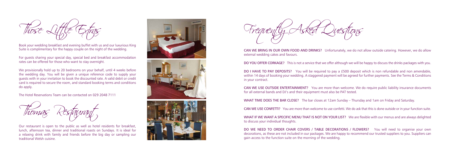Book your wedding breakfast and evening buffet with us and our luxurious King Suite is complimentary for the happy couple on the night of the wedding.

For guests sharing your special day, special bed and breakfast accommodation rates can be offered for those who want to stay overnight.

We provisionally hold up to 20 bedrooms on your behalf, until 4 weeks before the wedding day. You will be given a unique reference code to supply your guests with in your invitation to book the discounted rate. A valid debit or credit card is required to secure the room, and standard booking terms and conditions do apply.

The Hotel Reservations Team can be contacted on 029 2048 7111



DO I HAVE TO PAY DEPOSITS? You will be required to pay a £500 deposit which is non refundable and non amendable, within 14 days of booking your wedding. A staggered payment will be agreed for further payments. See the Terms & Conditions in your contract.

Our restaurant is open to the public as well as hotel residents for breakfast, lunch, afternoon tea, dinner and traditional roasts on Sundays. It is ideal for a relaxing drink with family and friends before the big day or sampling our traditional Welsh cuisine.







Those Liftle Extras  $\Box$   $\Box$  Frequently Asked Questions

WHAT IF WE WANT A SPECIFIC MENU THAT IS NOT ON YOUR LIST? We are flexible with our menus and are always delighted to discuss your individual thoughts.

CAN WE BRING IN OUR OWN FOOD AND DRINKS? Unfortunately, we do not allow outside catering. However, we do allow external wedding cakes and favours.

DO WE NEED TO ORDER CHAIR COVERS / TABLE DECORATIONS / FLOWERS? You will need to organise your own decorations, as these are not included in our packages. We are happy to recommend our trusted suppliers to you. Suppliers can gain access to the function suite on the morning of the wedding.

DO YOU OFFER CORKAGE? This is not a service that we offer although we will be happy to discuss the drinks packages with you.

CAN WE USE OUTSIDE ENTERTAINMENT? You are more than welcome. We do require public liability insurance documents for all external bands and DJ's and their equipment must also be PAT tested.

WHAT TIME DOES THE BAR CLOSE? The bar closes at 12am Sunday – Thursday and 1am on Friday and Saturday.

CAN WE USE CONFETTI? You are more than welcome to use confetti. We do ask that this is done outside or in your function suite.